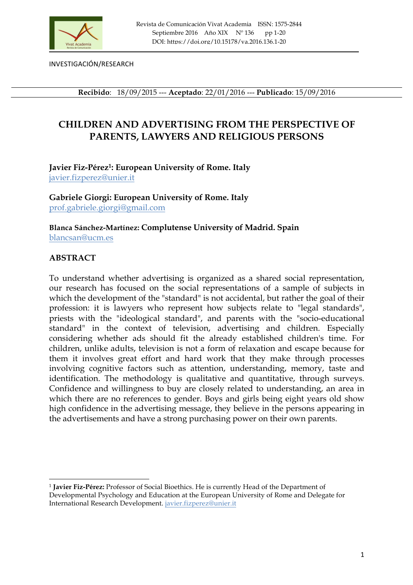

INVESTIGACIÓN/RESEARCH 

**Recibido**: 18/09/2015 --- **Aceptado**: 22/01/2016 --- **Publicado**: 15/09/2016

# **CHILDREN AND ADVERTISING FROM THE PERSPECTIVE OF PARENTS, LAWYERS AND RELIGIOUS PERSONS**

**Javier Fiz-Pérez1: European University of Rome. Italy** javier.fizperez@unier.it

**Gabriele Giorgi: European University of Rome. Italy** prof.gabriele.giorgi@gmail.com

**Blanca Sánchez-Martínez: Complutense University of Madrid. Spain** blancsan@ucm.es

## **ABSTRACT**

<u> 1989 - Johann Stein, marwolaethau a bh</u>

To understand whether advertising is organized as a shared social representation, our research has focused on the social representations of a sample of subjects in which the development of the "standard" is not accidental, but rather the goal of their profession: it is lawyers who represent how subjects relate to "legal standards", priests with the "ideological standard", and parents with the "socio-educational standard" in the context of television, advertising and children. Especially considering whether ads should fit the already established children's time. For children, unlike adults, television is not a form of relaxation and escape because for them it involves great effort and hard work that they make through processes involving cognitive factors such as attention, understanding, memory, taste and identification. The methodology is qualitative and quantitative, through surveys. Confidence and willingness to buy are closely related to understanding, an area in which there are no references to gender. Boys and girls being eight years old show high confidence in the advertising message, they believe in the persons appearing in the advertisements and have a strong purchasing power on their own parents.

<sup>1</sup> **Javier Fiz-Pérez:** Professor of Social Bioethics. He is currently Head of the Department of Developmental Psychology and Education at the European University of Rome and Delegate for International Research Development. javier.fizperez@unier.it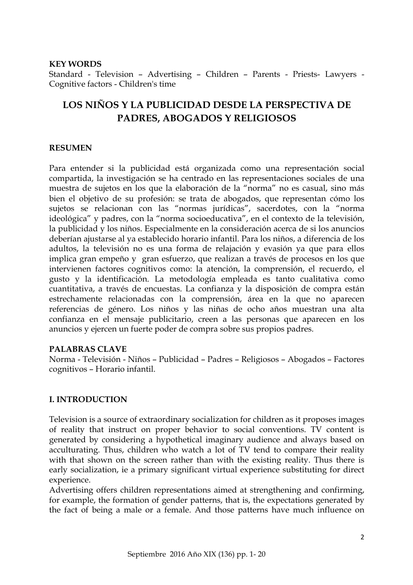#### **KEY WORDS**

Standard - Television – Advertising – Children – Parents - Priests- Lawyers - Cognitive factors - Children's time

# **LOS NIÑOS Y LA PUBLICIDAD DESDE LA PERSPECTIVA DE PADRES, ABOGADOS Y RELIGIOSOS**

#### **RESUMEN**

Para entender si la publicidad está organizada como una representación social compartida, la investigación se ha centrado en las representaciones sociales de una muestra de sujetos en los que la elaboración de la "norma" no es casual, sino más bien el objetivo de su profesión: se trata de abogados, que representan cómo los sujetos se relacionan con las "normas jurídicas", sacerdotes, con la "norma ideológica" y padres, con la "norma socioeducativa", en el contexto de la televisión, la publicidad y los niños. Especialmente en la consideración acerca de si los anuncios deberían ajustarse al ya establecido horario infantil. Para los niños, a diferencia de los adultos, la televisión no es una forma de relajación y evasión ya que para ellos implica gran empeño y gran esfuerzo, que realizan a través de procesos en los que intervienen factores cognitivos como: la atención, la comprensión, el recuerdo, el gusto y la identificación. La metodología empleada es tanto cualitativa como cuantitativa, a través de encuestas. La confianza y la disposición de compra están estrechamente relacionadas con la comprensión, área en la que no aparecen referencias de género. Los niños y las niñas de ocho años muestran una alta confianza en el mensaje publicitario, creen a las personas que aparecen en los anuncios y ejercen un fuerte poder de compra sobre sus propios padres.

#### **PALABRAS CLAVE**

Norma - Televisión - Niños – Publicidad – Padres – Religiosos – Abogados – Factores cognitivos – Horario infantil.

### **I. INTRODUCTION**

Television is a source of extraordinary socialization for children as it proposes images of reality that instruct on proper behavior to social conventions. TV content is generated by considering a hypothetical imaginary audience and always based on acculturating. Thus, children who watch a lot of TV tend to compare their reality with that shown on the screen rather than with the existing reality. Thus there is early socialization, ie a primary significant virtual experience substituting for direct experience.

Advertising offers children representations aimed at strengthening and confirming, for example, the formation of gender patterns, that is, the expectations generated by the fact of being a male or a female. And those patterns have much influence on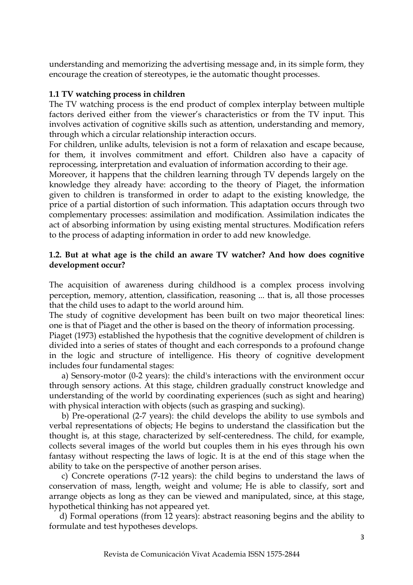understanding and memorizing the advertising message and, in its simple form, they encourage the creation of stereotypes, ie the automatic thought processes.

#### **1.1 TV watching process in children**

The TV watching process is the end product of complex interplay between multiple factors derived either from the viewer's characteristics or from the TV input. This involves activation of cognitive skills such as attention, understanding and memory, through which a circular relationship interaction occurs.

For children, unlike adults, television is not a form of relaxation and escape because, for them, it involves commitment and effort. Children also have a capacity of reprocessing, interpretation and evaluation of information according to their age.

Moreover, it happens that the children learning through TV depends largely on the knowledge they already have: according to the theory of Piaget, the information given to children is transformed in order to adapt to the existing knowledge, the price of a partial distortion of such information. This adaptation occurs through two complementary processes: assimilation and modification. Assimilation indicates the act of absorbing information by using existing mental structures. Modification refers to the process of adapting information in order to add new knowledge.

### **1.2. But at what age is the child an aware TV watcher? And how does cognitive development occur?**

The acquisition of awareness during childhood is a complex process involving perception, memory, attention, classification, reasoning ... that is, all those processes that the child uses to adapt to the world around him.

The study of cognitive development has been built on two major theoretical lines: one is that of Piaget and the other is based on the theory of information processing.

Piaget (1973) established the hypothesis that the cognitive development of children is divided into a series of states of thought and each corresponds to a profound change in the logic and structure of intelligence. His theory of cognitive development includes four fundamental stages:

 a) Sensory-motor (0-2 years): the child's interactions with the environment occur through sensory actions. At this stage, children gradually construct knowledge and understanding of the world by coordinating experiences (such as sight and hearing) with physical interaction with objects (such as grasping and sucking).

 b) Pre-operational (2-7 years): the child develops the ability to use symbols and verbal representations of objects; He begins to understand the classification but the thought is, at this stage, characterized by self-centeredness. The child, for example, collects several images of the world but couples them in his eyes through his own fantasy without respecting the laws of logic. It is at the end of this stage when the ability to take on the perspective of another person arises.

 c) Concrete operations (7-12 years): the child begins to understand the laws of conservation of mass, length, weight and volume; He is able to classify, sort and arrange objects as long as they can be viewed and manipulated, since, at this stage, hypothetical thinking has not appeared yet.

 d) Formal operations (from 12 years): abstract reasoning begins and the ability to formulate and test hypotheses develops.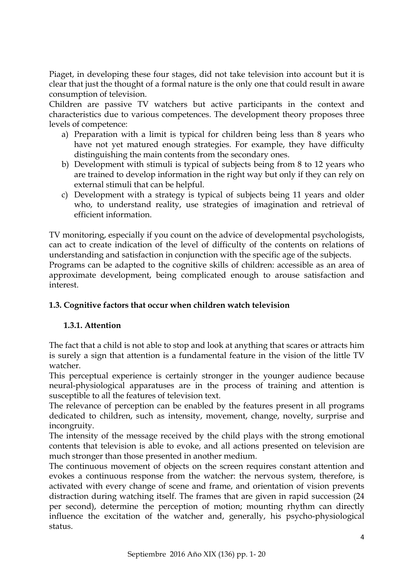Piaget, in developing these four stages, did not take television into account but it is clear that just the thought of a formal nature is the only one that could result in aware consumption of television.

Children are passive TV watchers but active participants in the context and characteristics due to various competences. The development theory proposes three levels of competence:

- a) Preparation with a limit is typical for children being less than 8 years who have not yet matured enough strategies. For example, they have difficulty distinguishing the main contents from the secondary ones.
- b) Development with stimuli is typical of subjects being from 8 to 12 years who are trained to develop information in the right way but only if they can rely on external stimuli that can be helpful.
- c) Development with a strategy is typical of subjects being 11 years and older who, to understand reality, use strategies of imagination and retrieval of efficient information.

TV monitoring, especially if you count on the advice of developmental psychologists, can act to create indication of the level of difficulty of the contents on relations of understanding and satisfaction in conjunction with the specific age of the subjects.

Programs can be adapted to the cognitive skills of children: accessible as an area of approximate development, being complicated enough to arouse satisfaction and interest.

# **1.3. Cognitive factors that occur when children watch television**

# **1.3.1. Attention**

The fact that a child is not able to stop and look at anything that scares or attracts him is surely a sign that attention is a fundamental feature in the vision of the little TV watcher.

This perceptual experience is certainly stronger in the younger audience because neural-physiological apparatuses are in the process of training and attention is susceptible to all the features of television text.

The relevance of perception can be enabled by the features present in all programs dedicated to children, such as intensity, movement, change, novelty, surprise and incongruity.

The intensity of the message received by the child plays with the strong emotional contents that television is able to evoke, and all actions presented on television are much stronger than those presented in another medium.

The continuous movement of objects on the screen requires constant attention and evokes a continuous response from the watcher: the nervous system, therefore, is activated with every change of scene and frame, and orientation of vision prevents distraction during watching itself. The frames that are given in rapid succession (24 per second), determine the perception of motion; mounting rhythm can directly influence the excitation of the watcher and, generally, his psycho-physiological status.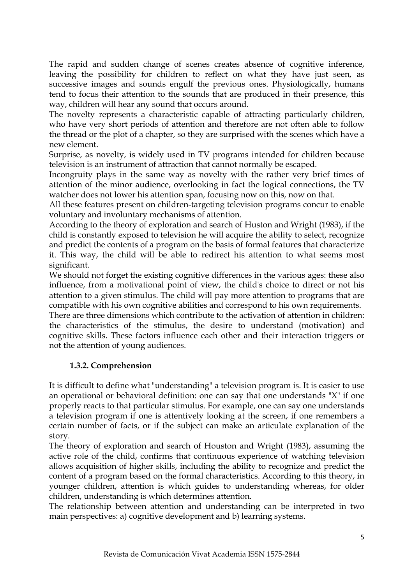The rapid and sudden change of scenes creates absence of cognitive inference, leaving the possibility for children to reflect on what they have just seen, as successive images and sounds engulf the previous ones. Physiologically, humans tend to focus their attention to the sounds that are produced in their presence, this way, children will hear any sound that occurs around.

The novelty represents a characteristic capable of attracting particularly children, who have very short periods of attention and therefore are not often able to follow the thread or the plot of a chapter, so they are surprised with the scenes which have a new element.

Surprise, as novelty, is widely used in TV programs intended for children because television is an instrument of attraction that cannot normally be escaped.

Incongruity plays in the same way as novelty with the rather very brief times of attention of the minor audience, overlooking in fact the logical connections, the TV watcher does not lower his attention span, focusing now on this, now on that.

All these features present on children-targeting television programs concur to enable voluntary and involuntary mechanisms of attention.

According to the theory of exploration and search of Huston and Wright (1983), if the child is constantly exposed to television he will acquire the ability to select, recognize and predict the contents of a program on the basis of formal features that characterize it. This way, the child will be able to redirect his attention to what seems most significant.

We should not forget the existing cognitive differences in the various ages: these also influence, from a motivational point of view, the child's choice to direct or not his attention to a given stimulus. The child will pay more attention to programs that are compatible with his own cognitive abilities and correspond to his own requirements.

There are three dimensions which contribute to the activation of attention in children: the characteristics of the stimulus, the desire to understand (motivation) and cognitive skills. These factors influence each other and their interaction triggers or not the attention of young audiences.

### **1.3.2. Comprehension**

It is difficult to define what "understanding" a television program is. It is easier to use an operational or behavioral definition: one can say that one understands "X" if one properly reacts to that particular stimulus. For example, one can say one understands a television program if one is attentively looking at the screen, if one remembers a certain number of facts, or if the subject can make an articulate explanation of the story.

The theory of exploration and search of Houston and Wright (1983), assuming the active role of the child, confirms that continuous experience of watching television allows acquisition of higher skills, including the ability to recognize and predict the content of a program based on the formal characteristics. According to this theory, in younger children, attention is which guides to understanding whereas, for older children, understanding is which determines attention.

The relationship between attention and understanding can be interpreted in two main perspectives: a) cognitive development and b) learning systems.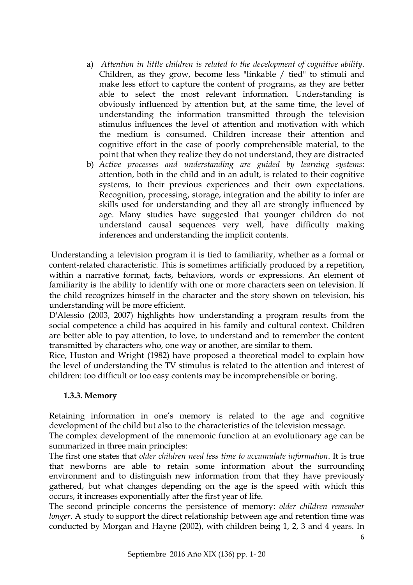- a) *Attention in little children is related to the development of cognitive ability*. Children, as they grow, become less "linkable / tied" to stimuli and make less effort to capture the content of programs, as they are better able to select the most relevant information. Understanding is obviously influenced by attention but, at the same time, the level of understanding the information transmitted through the television stimulus influences the level of attention and motivation with which the medium is consumed. Children increase their attention and cognitive effort in the case of poorly comprehensible material, to the point that when they realize they do not understand, they are distracted
- b) *Active processes and understanding are guided by learning systems*: attention, both in the child and in an adult, is related to their cognitive systems, to their previous experiences and their own expectations. Recognition, processing, storage, integration and the ability to infer are skills used for understanding and they all are strongly influenced by age. Many studies have suggested that younger children do not understand causal sequences very well, have difficulty making inferences and understanding the implicit contents.

Understanding a television program it is tied to familiarity, whether as a formal or content-related characteristic. This is sometimes artificially produced by a repetition, within a narrative format, facts, behaviors, words or expressions. An element of familiarity is the ability to identify with one or more characters seen on television. If the child recognizes himself in the character and the story shown on television, his understanding will be more efficient.

D'Alessio (2003, 2007) highlights how understanding a program results from the social competence a child has acquired in his family and cultural context. Children are better able to pay attention, to love, to understand and to remember the content transmitted by characters who, one way or another, are similar to them.

Rice, Huston and Wright (1982) have proposed a theoretical model to explain how the level of understanding the TV stimulus is related to the attention and interest of children: too difficult or too easy contents may be incomprehensible or boring.

### **1.3.3. Memory**

Retaining information in one's memory is related to the age and cognitive development of the child but also to the characteristics of the television message.

The complex development of the mnemonic function at an evolutionary age can be summarized in three main principles:

The first one states that *older children need less time to accumulate information*. It is true that newborns are able to retain some information about the surrounding environment and to distinguish new information from that they have previously gathered, but what changes depending on the age is the speed with which this occurs, it increases exponentially after the first year of life.

The second principle concerns the persistence of memory: *older children remember longer*. A study to support the direct relationship between age and retention time was conducted by Morgan and Hayne (2002), with children being 1, 2, 3 and 4 years. In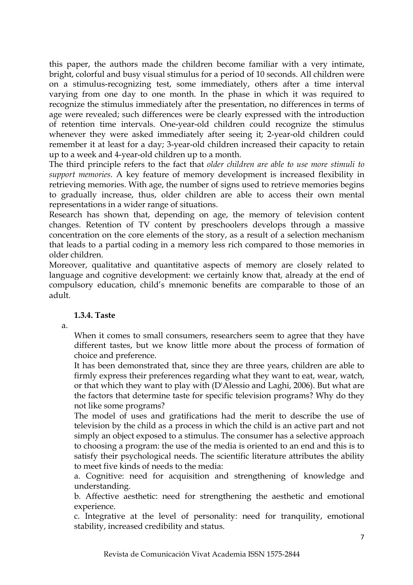this paper, the authors made the children become familiar with a very intimate, bright, colorful and busy visual stimulus for a period of 10 seconds. All children were on a stimulus-recognizing test, some immediately, others after a time interval varying from one day to one month. In the phase in which it was required to recognize the stimulus immediately after the presentation, no differences in terms of age were revealed; such differences were be clearly expressed with the introduction of retention time intervals. One-year-old children could recognize the stimulus whenever they were asked immediately after seeing it; 2-year-old children could remember it at least for a day; 3-year-old children increased their capacity to retain up to a week and 4-year-old children up to a month.

The third principle refers to the fact that *older children are able to use more stimuli to support memories*. A key feature of memory development is increased flexibility in retrieving memories. With age, the number of signs used to retrieve memories begins to gradually increase, thus, older children are able to access their own mental representations in a wider range of situations.

Research has shown that, depending on age, the memory of television content changes. Retention of TV content by preschoolers develops through a massive concentration on the core elements of the story, as a result of a selection mechanism that leads to a partial coding in a memory less rich compared to those memories in older children.

Moreover, qualitative and quantitative aspects of memory are closely related to language and cognitive development: we certainly know that, already at the end of compulsory education, child's mnemonic benefits are comparable to those of an adult.

### **1.3.4. Taste**

a.

When it comes to small consumers, researchers seem to agree that they have different tastes, but we know little more about the process of formation of choice and preference.

It has been demonstrated that, since they are three years, children are able to firmly express their preferences regarding what they want to eat, wear, watch, or that which they want to play with (D'Alessio and Laghi, 2006). But what are the factors that determine taste for specific television programs? Why do they not like some programs?

The model of uses and gratifications had the merit to describe the use of television by the child as a process in which the child is an active part and not simply an object exposed to a stimulus. The consumer has a selective approach to choosing a program: the use of the media is oriented to an end and this is to satisfy their psychological needs. The scientific literature attributes the ability to meet five kinds of needs to the media:

a. Cognitive: need for acquisition and strengthening of knowledge and understanding.

b. Affective aesthetic: need for strengthening the aesthetic and emotional experience.

c. Integrative at the level of personality: need for tranquility, emotional stability, increased credibility and status.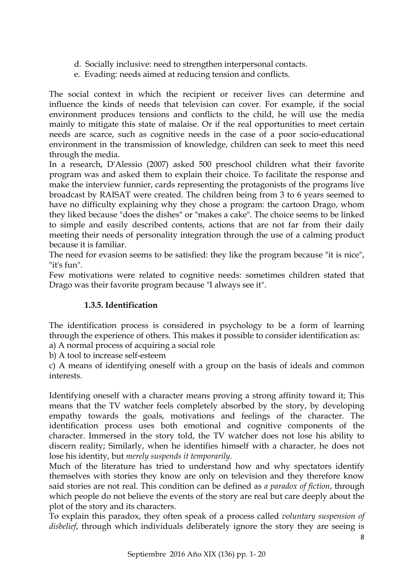- d. Socially inclusive: need to strengthen interpersonal contacts.
- e. Evading: needs aimed at reducing tension and conflicts.

The social context in which the recipient or receiver lives can determine and influence the kinds of needs that television can cover. For example, if the social environment produces tensions and conflicts to the child, he will use the media mainly to mitigate this state of malaise. Or if the real opportunities to meet certain needs are scarce, such as cognitive needs in the case of a poor socio-educational environment in the transmission of knowledge, children can seek to meet this need through the media.

In a research, D'Alessio (2007) asked 500 preschool children what their favorite program was and asked them to explain their choice. To facilitate the response and make the interview funnier, cards representing the protagonists of the programs live broadcast by RAISAT were created. The children being from 3 to 6 years seemed to have no difficulty explaining why they chose a program: the cartoon Drago, whom they liked because "does the dishes" or "makes a cake". The choice seems to be linked to simple and easily described contents, actions that are not far from their daily meeting their needs of personality integration through the use of a calming product because it is familiar.

The need for evasion seems to be satisfied: they like the program because "it is nice", "it's fun".

Few motivations were related to cognitive needs: sometimes children stated that Drago was their favorite program because "I always see it".

### **1.3.5. Identification**

The identification process is considered in psychology to be a form of learning through the experience of others. This makes it possible to consider identification as:

a) A normal process of acquiring a social role

b) A tool to increase self-esteem

c) A means of identifying oneself with a group on the basis of ideals and common interests.

Identifying oneself with a character means proving a strong affinity toward it; This means that the TV watcher feels completely absorbed by the story, by developing empathy towards the goals, motivations and feelings of the character. The identification process uses both emotional and cognitive components of the character. Immersed in the story told, the TV watcher does not lose his ability to discern reality; Similarly, when he identifies himself with a character, he does not lose his identity, but *merely suspends it temporarily*.

Much of the literature has tried to understand how and why spectators identify themselves with stories they know are only on television and they therefore know said stories are not real. This condition can be defined as *a paradox of fiction*, through which people do not believe the events of the story are real but care deeply about the plot of the story and its characters.

To explain this paradox, they often speak of a process called *voluntary suspension of disbelief*, through which individuals deliberately ignore the story they are seeing is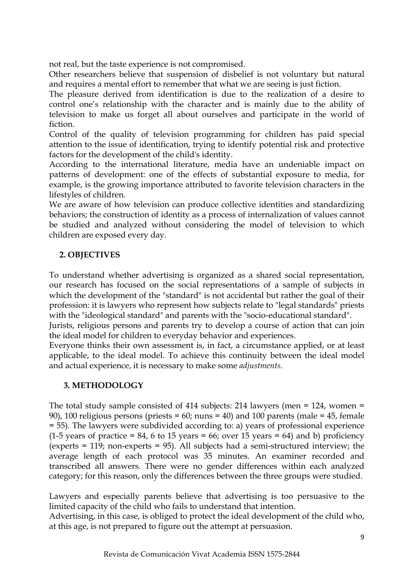not real, but the taste experience is not compromised.

Other researchers believe that suspension of disbelief is not voluntary but natural and requires a mental effort to remember that what we are seeing is just fiction.

The pleasure derived from identification is due to the realization of a desire to control one's relationship with the character and is mainly due to the ability of television to make us forget all about ourselves and participate in the world of fiction.

Control of the quality of television programming for children has paid special attention to the issue of identification, trying to identify potential risk and protective factors for the development of the child's identity.

According to the international literature, media have an undeniable impact on patterns of development: one of the effects of substantial exposure to media, for example, is the growing importance attributed to favorite television characters in the lifestyles of children.

We are aware of how television can produce collective identities and standardizing behaviors; the construction of identity as a process of internalization of values cannot be studied and analyzed without considering the model of television to which children are exposed every day.

### **2. OBJECTIVES**

To understand whether advertising is organized as a shared social representation, our research has focused on the social representations of a sample of subjects in which the development of the "standard" is not accidental but rather the goal of their profession: it is lawyers who represent how subjects relate to "legal standards" priests with the "ideological standard" and parents with the "socio-educational standard".

Jurists, religious persons and parents try to develop a course of action that can join the ideal model for children to everyday behavior and experiences.

Everyone thinks their own assessment is, in fact, a circumstance applied, or at least applicable, to the ideal model. To achieve this continuity between the ideal model and actual experience, it is necessary to make some *adjustments*.

### **3. METHODOLOGY**

The total study sample consisted of 414 subjects: 214 lawyers (men = 124, women = 90), 100 religious persons (priests  $= 60$ ; nuns  $= 40$ ) and 100 parents (male  $= 45$ , female = 55). The lawyers were subdivided according to: a) years of professional experience  $(1-5$  years of practice = 84, 6 to 15 years = 66; over 15 years = 64) and b) proficiency (experts = 119; non-experts = 95). All subjects had a semi-structured interview; the average length of each protocol was 35 minutes. An examiner recorded and transcribed all answers. There were no gender differences within each analyzed category; for this reason, only the differences between the three groups were studied.

Lawyers and especially parents believe that advertising is too persuasive to the limited capacity of the child who fails to understand that intention.

Advertising, in this case, is obliged to protect the ideal development of the child who, at this age, is not prepared to figure out the attempt at persuasion.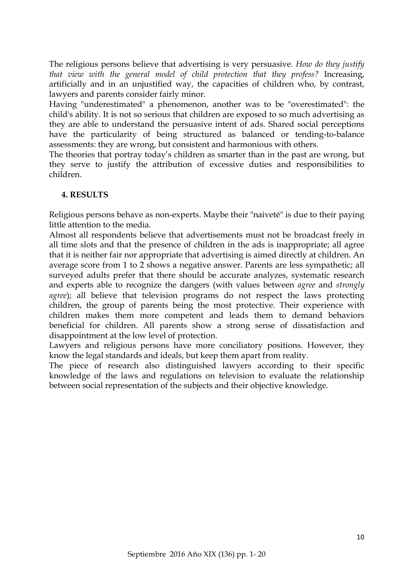The religious persons believe that advertising is very persuasive. *How do they justify that view with the general model of child protection that they profess?* Increasing, artificially and in an unjustified way, the capacities of children who, by contrast, lawyers and parents consider fairly minor.

Having "underestimated" a phenomenon, another was to be "overestimated": the child's ability. It is not so serious that children are exposed to so much advertising as they are able to understand the persuasive intent of ads. Shared social perceptions have the particularity of being structured as balanced or tending-to-balance assessments: they are wrong, but consistent and harmonious with others.

The theories that portray today's children as smarter than in the past are wrong, but they serve to justify the attribution of excessive duties and responsibilities to children.

### **4. RESULTS**

Religious persons behave as non-experts. Maybe their "naiveté" is due to their paying little attention to the media.

Almost all respondents believe that advertisements must not be broadcast freely in all time slots and that the presence of children in the ads is inappropriate; all agree that it is neither fair nor appropriate that advertising is aimed directly at children. An average score from 1 to 2 shows a negative answer. Parents are less sympathetic; all surveyed adults prefer that there should be accurate analyzes, systematic research and experts able to recognize the dangers (with values between *agree* and *strongly agree*); all believe that television programs do not respect the laws protecting children, the group of parents being the most protective. Their experience with children makes them more competent and leads them to demand behaviors beneficial for children. All parents show a strong sense of dissatisfaction and disappointment at the low level of protection.

Lawyers and religious persons have more conciliatory positions. However, they know the legal standards and ideals, but keep them apart from reality.

The piece of research also distinguished lawyers according to their specific knowledge of the laws and regulations on television to evaluate the relationship between social representation of the subjects and their objective knowledge.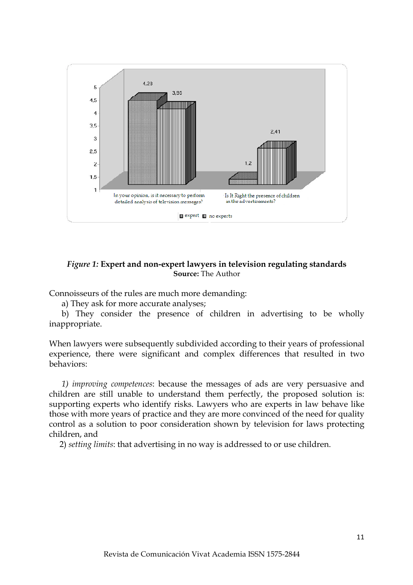

### *Figure 1:* **Expert and non-expert lawyers in television regulating standards Source:** The Author

Connoisseurs of the rules are much more demanding:

a) They ask for more accurate analyses;

 b) They consider the presence of children in advertising to be wholly inappropriate.

When lawyers were subsequently subdivided according to their years of professional experience, there were significant and complex differences that resulted in two behaviors:

 *1) improving competences*: because the messages of ads are very persuasive and children are still unable to understand them perfectly, the proposed solution is: supporting experts who identify risks. Lawyers who are experts in law behave like those with more years of practice and they are more convinced of the need for quality control as a solution to poor consideration shown by television for laws protecting children, and

2) *setting limits*: that advertising in no way is addressed to or use children.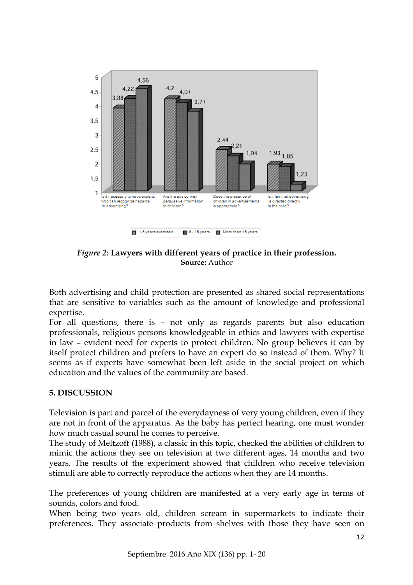

*Figure 2:* **Lawyers with different years of practice in their profession. Source:** Author

Both advertising and child protection are presented as shared social representations that are sensitive to variables such as the amount of knowledge and professional expertise.

For all questions, there is – not only as regards parents but also education professionals, religious persons knowledgeable in ethics and lawyers with expertise in law – evident need for experts to protect children. No group believes it can by itself protect children and prefers to have an expert do so instead of them. Why? It seems as if experts have somewhat been left aside in the social project on which education and the values of the community are based.

### **5. DISCUSSION**

Television is part and parcel of the everydayness of very young children, even if they are not in front of the apparatus. As the baby has perfect hearing, one must wonder how much casual sound he comes to perceive.

The study of Meltzoff (1988), a classic in this topic, checked the abilities of children to mimic the actions they see on television at two different ages, 14 months and two years. The results of the experiment showed that children who receive television stimuli are able to correctly reproduce the actions when they are 14 months.

The preferences of young children are manifested at a very early age in terms of sounds, colors and food.

When being two years old, children scream in supermarkets to indicate their preferences. They associate products from shelves with those they have seen on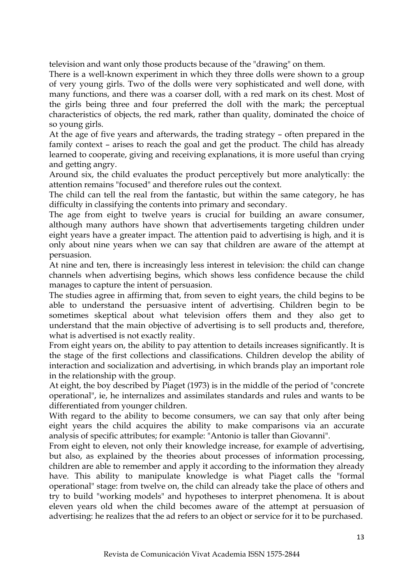television and want only those products because of the "drawing" on them.

There is a well-known experiment in which they three dolls were shown to a group of very young girls. Two of the dolls were very sophisticated and well done, with many functions, and there was a coarser doll, with a red mark on its chest. Most of the girls being three and four preferred the doll with the mark; the perceptual characteristics of objects, the red mark, rather than quality, dominated the choice of so young girls.

At the age of five years and afterwards, the trading strategy – often prepared in the family context – arises to reach the goal and get the product. The child has already learned to cooperate, giving and receiving explanations, it is more useful than crying and getting angry.

Around six, the child evaluates the product perceptively but more analytically: the attention remains "focused" and therefore rules out the context.

The child can tell the real from the fantastic, but within the same category, he has difficulty in classifying the contents into primary and secondary.

The age from eight to twelve years is crucial for building an aware consumer, although many authors have shown that advertisements targeting children under eight years have a greater impact. The attention paid to advertising is high, and it is only about nine years when we can say that children are aware of the attempt at persuasion.

At nine and ten, there is increasingly less interest in television: the child can change channels when advertising begins, which shows less confidence because the child manages to capture the intent of persuasion.

The studies agree in affirming that, from seven to eight years, the child begins to be able to understand the persuasive intent of advertising. Children begin to be sometimes skeptical about what television offers them and they also get to understand that the main objective of advertising is to sell products and, therefore, what is advertised is not exactly reality.

From eight years on, the ability to pay attention to details increases significantly. It is the stage of the first collections and classifications. Children develop the ability of interaction and socialization and advertising, in which brands play an important role in the relationship with the group.

At eight, the boy described by Piaget (1973) is in the middle of the period of "concrete operational", ie, he internalizes and assimilates standards and rules and wants to be differentiated from younger children.

With regard to the ability to become consumers, we can say that only after being eight years the child acquires the ability to make comparisons via an accurate analysis of specific attributes; for example: "Antonio is taller than Giovanni".

From eight to eleven, not only their knowledge increase, for example of advertising, but also, as explained by the theories about processes of information processing, children are able to remember and apply it according to the information they already have. This ability to manipulate knowledge is what Piaget calls the "formal operational" stage: from twelve on, the child can already take the place of others and try to build "working models" and hypotheses to interpret phenomena. It is about eleven years old when the child becomes aware of the attempt at persuasion of advertising: he realizes that the ad refers to an object or service for it to be purchased.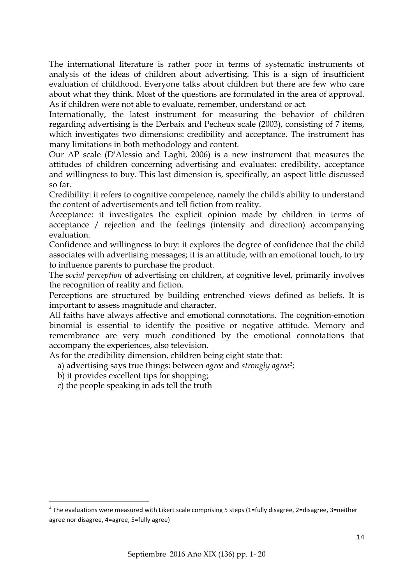The international literature is rather poor in terms of systematic instruments of analysis of the ideas of children about advertising. This is a sign of insufficient evaluation of childhood. Everyone talks about children but there are few who care about what they think. Most of the questions are formulated in the area of approval. As if children were not able to evaluate, remember, understand or act.

Internationally, the latest instrument for measuring the behavior of children regarding advertising is the Derbaix and Pecheux scale (2003), consisting of 7 items, which investigates two dimensions: credibility and acceptance. The instrument has many limitations in both methodology and content.

Our AP scale (D'Alessio and Laghi, 2006) is a new instrument that measures the attitudes of children concerning advertising and evaluates: credibility, acceptance and willingness to buy. This last dimension is, specifically, an aspect little discussed so far.

Credibility: it refers to cognitive competence, namely the child's ability to understand the content of advertisements and tell fiction from reality.

Acceptance: it investigates the explicit opinion made by children in terms of acceptance / rejection and the feelings (intensity and direction) accompanying evaluation.

Confidence and willingness to buy: it explores the degree of confidence that the child associates with advertising messages; it is an attitude, with an emotional touch, to try to influence parents to purchase the product.

The *social perception* of advertising on children, at cognitive level, primarily involves the recognition of reality and fiction.

Perceptions are structured by building entrenched views defined as beliefs. It is important to assess magnitude and character.

All faiths have always affective and emotional connotations. The cognition-emotion binomial is essential to identify the positive or negative attitude. Memory and remembrance are very much conditioned by the emotional connotations that accompany the experiences, also television.

As for the credibility dimension, children being eight state that:

- a) advertising says true things: between *agree* and *strongly agree2*;
- b) it provides excellent tips for shopping;
- c) the people speaking in ads tell the truth

<u> 1989 - Johann Stein, marwolaethau a bh</u>

 $2$  The evaluations were measured with Likert scale comprising 5 steps (1=fully disagree, 2=disagree, 3=neither agree nor disagree, 4=agree, 5=fully agree)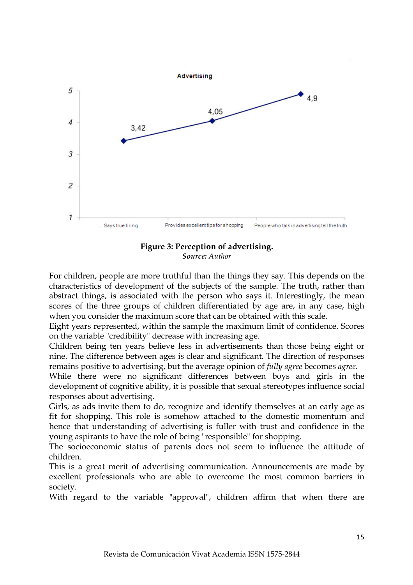



For children, people are more truthful than the things they say. This depends on the characteristics of development of the subjects of the sample. The truth, rather than abstract things, is associated with the person who says it. Interestingly, the mean scores of the three groups of children differentiated by age are, in any case, high when you consider the maximum score that can be obtained with this scale.

Eight years represented, within the sample the maximum limit of confidence. Scores on the variable "credibility" decrease with increasing age.

Children being ten years believe less in advertisements than those being eight or nine. The difference between ages is clear and significant. The direction of responses remains positive to advertising, but the average opinion of *fully agree* becomes *agree*.

While there were no significant differences between boys and girls in the development of cognitive ability, it is possible that sexual stereotypes influence social responses about advertising.

Girls, as ads invite them to do, recognize and identify themselves at an early age as fit for shopping. This role is somehow attached to the domestic momentum and hence that understanding of advertising is fuller with trust and confidence in the young aspirants to have the role of being "responsible" for shopping.

The socioeconomic status of parents does not seem to influence the attitude of children.

This is a great merit of advertising communication. Announcements are made by excellent professionals who are able to overcome the most common barriers in society.

With regard to the variable "approval", children affirm that when there are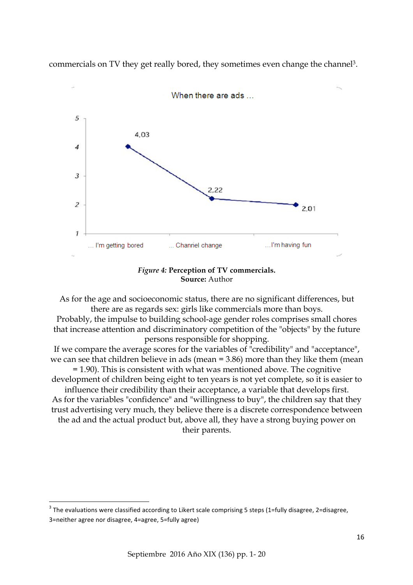

commercials on TV they get really bored, they sometimes even change the channel3.

*Figure 4:* **Perception of TV commercials. Source:** Author

As for the age and socioeconomic status, there are no significant differences, but there are as regards sex: girls like commercials more than boys. Probably, the impulse to building school-age gender roles comprises small chores

that increase attention and discriminatory competition of the "objects" by the future persons responsible for shopping.

If we compare the average scores for the variables of "credibility" and "acceptance", we can see that children believe in ads (mean = 3.86) more than they like them (mean = 1.90). This is consistent with what was mentioned above. The cognitive

development of children being eight to ten years is not yet complete, so it is easier to

influence their credibility than their acceptance, a variable that develops first. As for the variables "confidence" and "willingness to buy", the children say that they trust advertising very much, they believe there is a discrete correspondence between the ad and the actual product but, above all, they have a strong buying power on their parents.

<u> 1989 - Johann Stein, marwolaethau a bh</u>

 $3$  The evaluations were classified according to Likert scale comprising 5 steps (1=fully disagree, 2=disagree, 3=neither agree nor disagree, 4=agree, 5=fully agree)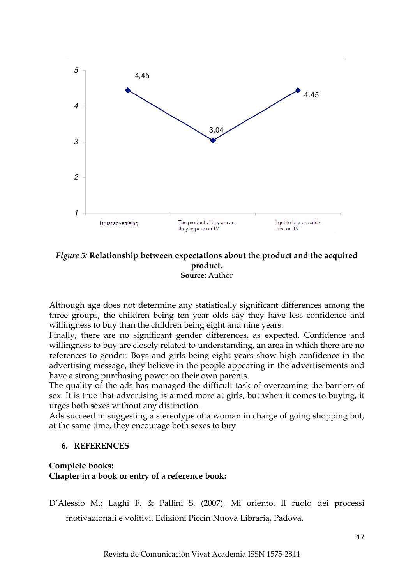

#### *Figure 5:* **Relationship between expectations about the product and the acquired product. Source:** Author

Although age does not determine any statistically significant differences among the three groups, the children being ten year olds say they have less confidence and willingness to buy than the children being eight and nine years.

Finally, there are no significant gender differences, as expected. Confidence and willingness to buy are closely related to understanding, an area in which there are no references to gender. Boys and girls being eight years show high confidence in the advertising message, they believe in the people appearing in the advertisements and have a strong purchasing power on their own parents.

The quality of the ads has managed the difficult task of overcoming the barriers of sex. It is true that advertising is aimed more at girls, but when it comes to buying, it urges both sexes without any distinction.

Ads succeed in suggesting a stereotype of a woman in charge of going shopping but, at the same time, they encourage both sexes to buy

### **6. REFERENCES**

### **Complete books: Chapter in a book or entry of a reference book:**

D'Alessio M.; Laghi F. & Pallini S. (2007). Mi oriento. Il ruolo dei processi motivazionali e volitivi. Edizioni Piccin Nuova Libraria, Padova.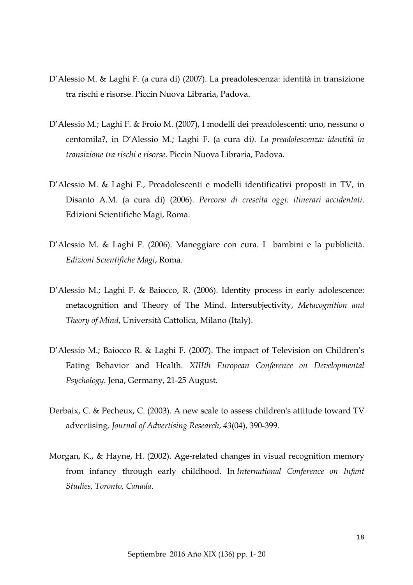- D'Alessio M. & Laghi F. (a cura di) (2007). La preadolescenza: identità in transizione tra rischi e risorse. Piccin Nuova Libraria, Padova.
- D'Alessio M.; Laghi F. & Froio M. (2007), I modelli dei preadolescenti: uno, nessuno o centomila?, in D'Alessio M.; Laghi F. (a cura di*). La preadolescenza: identità in transizione tra rischi e risorse.* Piccin Nuova Libraria, Padova.
- D'Alessio M. & Laghi F., Preadolescenti e modelli identificativi proposti in TV, in Disanto A.M. (a cura di) (2006). *Percorsi di crescita oggi: itinerari accidentati*. Edizioni Scientifiche Magi, Roma.
- D'Alessio M. & Laghi F. (2006). Maneggiare con cura. I bambini e la pubblicità. *Edizioni Scientifiche Magi*, Roma.
- D'Alessio M.; Laghi F. & Baiocco, R. (2006). Identity process in early adolescence: metacognition and Theory of The Mind. Intersubjectivity, *Metacognition and Theory of Mind*, Università Cattolica, Milano (Italy).
- D'Alessio M.; Baiocco R. & Laghi F. (2007). The impact of Television on Children's Eating Behavior and Health. *XIIIth European Conference on Developmental Psychology*. Jena, Germany, 21-25 August.
- Derbaix, C. & Pecheux, C. (2003). A new scale to assess children's attitude toward TV advertising. *Journal of Advertising Research*, *43*(04), 390-399.
- Morgan, K., & Hayne, H. (2002). Age-related changes in visual recognition memory from infancy through early childhood. In *International Conference on Infant Studies, Toronto, Canada*.